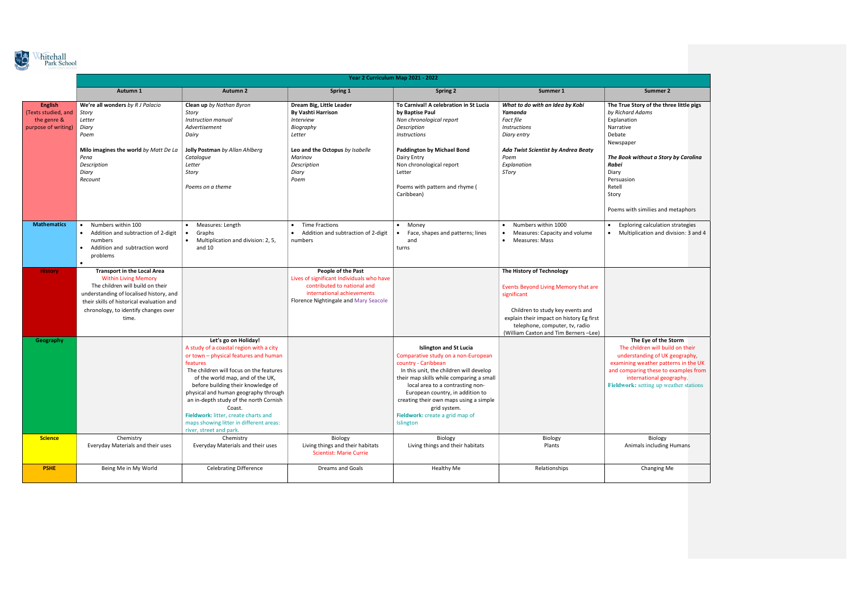

|                                                                             | Year 2 Curriculum Map 2021 - 2022                                                                                                                                                                                                              |                                                                                                                                                                                                                                                                                                                                                                                                                                                     |                                                                                                                                                                       |                                                                                                                                                                                                                                                                                                                                                                             |                                                                                                                                                                                                                                            |                                                                                                                                                                                 |
|-----------------------------------------------------------------------------|------------------------------------------------------------------------------------------------------------------------------------------------------------------------------------------------------------------------------------------------|-----------------------------------------------------------------------------------------------------------------------------------------------------------------------------------------------------------------------------------------------------------------------------------------------------------------------------------------------------------------------------------------------------------------------------------------------------|-----------------------------------------------------------------------------------------------------------------------------------------------------------------------|-----------------------------------------------------------------------------------------------------------------------------------------------------------------------------------------------------------------------------------------------------------------------------------------------------------------------------------------------------------------------------|--------------------------------------------------------------------------------------------------------------------------------------------------------------------------------------------------------------------------------------------|---------------------------------------------------------------------------------------------------------------------------------------------------------------------------------|
|                                                                             | Autumn 1                                                                                                                                                                                                                                       | <b>Autumn 2</b>                                                                                                                                                                                                                                                                                                                                                                                                                                     | Spring 1                                                                                                                                                              | <b>Spring 2</b>                                                                                                                                                                                                                                                                                                                                                             | Summer 1                                                                                                                                                                                                                                   | Summer 2                                                                                                                                                                        |
| <b>English</b><br>(Texts studied, and<br>the genre &<br>purpose of writing) | We're all wonders by R J Palacio<br>Story<br>Letter<br>Diary<br>Poem                                                                                                                                                                           | Clean up by Nathan Byron<br>Story<br>Instruction manual<br>Advertisement<br>Dairy                                                                                                                                                                                                                                                                                                                                                                   | Dream Big, Little Leader<br><b>By Vashti Harrison</b><br><b>Interview</b><br>Biography<br>Letter                                                                      | To Carnival! A celebration in St Lucia<br>by Baptise Paul<br>Non chronological report<br>Description<br><b>Instructions</b>                                                                                                                                                                                                                                                 | What to do with an Idea by Kobi<br>Yamanda<br>Fact file<br><b>Instructions</b><br>Diary entry                                                                                                                                              | The True Story of the thre<br>by Richard Adams<br>Explanation<br>Narrative<br>Debate<br>Newspaper                                                                               |
|                                                                             | Milo imagines the world by Matt De La<br>Pena<br>Description<br>Diary<br>Recount                                                                                                                                                               | Jolly Postman by Allan Ahlberg<br>Catalogue<br>Letter<br>Story<br>Poems on a theme                                                                                                                                                                                                                                                                                                                                                                  | Leo and the Octopus by Isabelle<br>Marinov<br>Description<br>Diary<br>Poem                                                                                            | <b>Paddington by Michael Bond</b><br>Dairy Entry<br>Non chronological report<br>Letter<br>Poems with pattern and rhyme (<br>Caribbean)                                                                                                                                                                                                                                      | Ada Twist Scientist by Andrea Beaty<br>Poem<br>Explanation<br>STory                                                                                                                                                                        | The Book without a Story<br>Rabei<br>Diary<br>Persuasion<br>Retell<br>Story<br>Poems with similies and m                                                                        |
| <b>Mathematics</b>                                                          | Numbers within 100<br>$\bullet$<br>Addition and subtraction of 2-digit<br>$\bullet$<br>numbers<br>Addition and subtraction word<br>problems<br>$\bullet$                                                                                       | Measures: Length<br>$\bullet$<br>Graphs<br>Multiplication and division: 2, 5,<br>and $10$                                                                                                                                                                                                                                                                                                                                                           | <b>Time Fractions</b><br>$\bullet$<br>Addition and subtraction of 2-digit<br>$\bullet$<br>numbers                                                                     | Money<br>$\bullet$<br>Face, shapes and patterns; lines<br>and<br>turns                                                                                                                                                                                                                                                                                                      | Numbers within 1000<br>Measures: Capacity and volume<br>$\bullet$<br><b>Measures: Mass</b>                                                                                                                                                 | <b>Exploring calculation</b> :<br>$\bullet$<br>Multiplication and div<br>$\bullet$                                                                                              |
| <b>History</b>                                                              | <b>Transport in the Local Area</b><br><b>Within Living Memory</b><br>The children will build on their<br>understanding of localised history, and<br>their skills of historical evaluation and<br>chronology, to identify changes over<br>time. |                                                                                                                                                                                                                                                                                                                                                                                                                                                     | People of the Past<br>Lives of significant Individuals who have<br>contributed to national and<br>international achievements<br>Florence Nightingale and Mary Seacole |                                                                                                                                                                                                                                                                                                                                                                             | The History of Technology<br>Events Beyond Living Memory that are<br>significant<br>Children to study key events and<br>explain their impact on history Eg first<br>telephone, computer, tv, radio<br>(William Caxton and Tim Berners-Lee) |                                                                                                                                                                                 |
| Geography                                                                   |                                                                                                                                                                                                                                                | Let's go on Holiday!<br>A study of a coastal region with a city<br>or town - physical features and human<br>features<br>The children will focus on the features<br>of the world map, and of the UK,<br>before building their knowledge of<br>physical and human geography through<br>an in-depth study of the north Cornish<br>Coast.<br>Fieldwork: litter, create charts and<br>maps showing litter in different areas:<br>river, street and park. |                                                                                                                                                                       | <b>Islington and St Lucia</b><br>Comparative study on a non-European<br>country - Caribbean<br>In this unit, the children will develop<br>their map skills while comparing a small<br>local area to a contrasting non-<br>European country, in addition to<br>creating their own maps using a simple<br>grid system.<br>Fieldwork: create a grid map of<br><b>Islington</b> |                                                                                                                                                                                                                                            | The Eye of the St<br>The children will build<br>understanding of UK g<br>examining weather patte<br>and comparing these to e<br>international geog<br>Fieldwork: setting up wea |
| <b>Science</b>                                                              | Chemistry<br>Everyday Materials and their uses                                                                                                                                                                                                 | Chemistry<br>Everyday Materials and their uses                                                                                                                                                                                                                                                                                                                                                                                                      | Biology<br>Living things and their habitats<br><b>Scientist: Marie Currie</b>                                                                                         | Biology<br>Living things and their habitats                                                                                                                                                                                                                                                                                                                                 | Biology<br>Plants                                                                                                                                                                                                                          | Biology<br>Animals including H                                                                                                                                                  |
| <b>PSHE</b>                                                                 | Being Me in My World                                                                                                                                                                                                                           | <b>Celebrating Difference</b>                                                                                                                                                                                                                                                                                                                                                                                                                       | <b>Dreams and Goals</b>                                                                                                                                               | Healthy Me                                                                                                                                                                                                                                                                                                                                                                  | Relationships                                                                                                                                                                                                                              | Changing Me                                                                                                                                                                     |
|                                                                             |                                                                                                                                                                                                                                                |                                                                                                                                                                                                                                                                                                                                                                                                                                                     |                                                                                                                                                                       |                                                                                                                                                                                                                                                                                                                                                                             |                                                                                                                                                                                                                                            |                                                                                                                                                                                 |

| <b>Summer 2</b>                                                                                                                                                                      |  |  |  |  |  |
|--------------------------------------------------------------------------------------------------------------------------------------------------------------------------------------|--|--|--|--|--|
| The True Story of the three little pigs<br>by Richard Adams<br>Explanation<br>Narrative<br>Debate<br>Newspaper                                                                       |  |  |  |  |  |
| The Book without a Story by Carolina<br>Rabei<br>Diary<br>Persuasion<br>Retell<br>Story                                                                                              |  |  |  |  |  |
| Poems with similies and metaphors                                                                                                                                                    |  |  |  |  |  |
| Exploring calculation strategies<br>٠<br>Multiplication and division: 3 and 4                                                                                                        |  |  |  |  |  |
|                                                                                                                                                                                      |  |  |  |  |  |
| The Eye of the Storm<br>The children will build on their                                                                                                                             |  |  |  |  |  |
| understanding of UK geography,<br>examining weather patterns in the UK<br>and comparing these to examples from<br>international geography.<br>Fieldwork: setting up weather stations |  |  |  |  |  |
|                                                                                                                                                                                      |  |  |  |  |  |
| Biology<br><b>Animals including Humans</b>                                                                                                                                           |  |  |  |  |  |
| <b>Changing Me</b>                                                                                                                                                                   |  |  |  |  |  |
|                                                                                                                                                                                      |  |  |  |  |  |